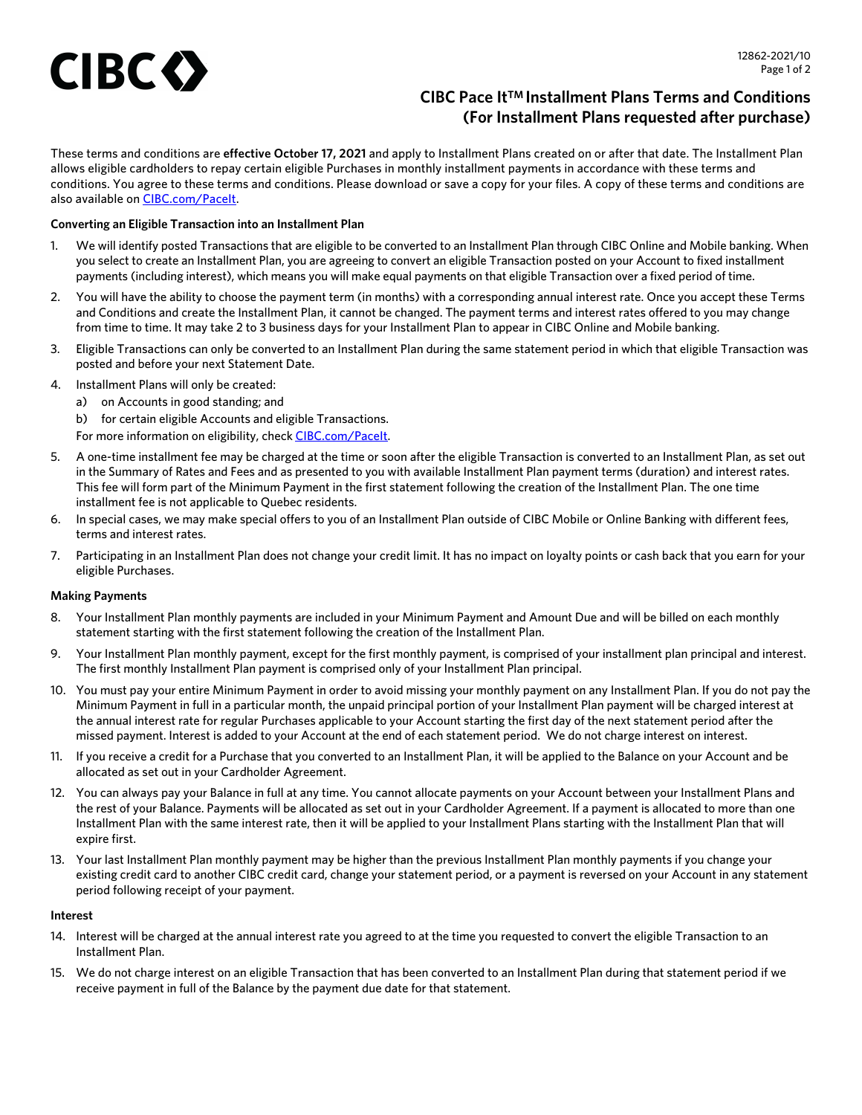# **CIBC O**

# **CIBC Pace ItTM Installment Plans Terms and Conditions (For Installment Plans requested after purchase)**

These terms and conditions are **effective October 17, 2021** and apply to Installment Plans created on or after that date. The Installment Plan allows eligible cardholders to repay certain eligible Purchases in monthly installment payments in accordance with these terms and conditions. You agree to these terms and conditions. Please download or save a copy for your files. A copy of these terms and conditions are also available on [CIBC.com/PaceIt.](https://www.cibc.com/en/personal-banking/credit-cards/manage/installment-plans.html)

# **Converting an Eligible Transaction into an Installment Plan**

- 1. We will identify posted Transactions that are eligible to be converted to an Installment Plan through CIBC Online and Mobile banking. When you select to create an Installment Plan, you are agreeing to convert an eligible Transaction posted on your Account to fixed installment payments (including interest), which means you will make equal payments on that eligible Transaction over a fixed period of time.
- 2. You will have the ability to choose the payment term (in months) with a corresponding annual interest rate. Once you accept these Terms and Conditions and create the Installment Plan, it cannot be changed. The payment terms and interest rates offered to you may change from time to time. It may take 2 to 3 business days for your Installment Plan to appear in CIBC Online and Mobile banking.
- 3. Eligible Transactions can only be converted to an Installment Plan during the same statement period in which that eligible Transaction was posted and before your next Statement Date.
- 4. Installment Plans will only be created:
	- a) on Accounts in good standing; and
	- b) for certain eligible Accounts and eligible Transactions.
	- For more information on eligibility, check [CIBC.com/PaceIt](https://www.cibc.com/en/personal-banking/credit-cards/manage/installment-plans.html).
- 5. A one-time installment fee may be charged at the time or soon after the eligible Transaction is converted to an Installment Plan, as set out in the Summary of Rates and Fees and as presented to you with available Installment Plan payment terms (duration) and interest rates. This fee will form part of the Minimum Payment in the first statement following the creation of the Installment Plan. The one time installment fee is not applicable to Quebec residents.
- 6. In special cases, we may make special offers to you of an Installment Plan outside of CIBC Mobile or Online Banking with different fees, terms and interest rates.
- 7. Participating in an Installment Plan does not change your credit limit. It has no impact on loyalty points or cash back that you earn for your eligible Purchases.

## **Making Payments**

- 8. Your Installment Plan monthly payments are included in your Minimum Payment and Amount Due and will be billed on each monthly statement starting with the first statement following the creation of the Installment Plan.
- 9. Your Installment Plan monthly payment, except for the first monthly payment, is comprised of your installment plan principal and interest. The first monthly Installment Plan payment is comprised only of your Installment Plan principal.
- 10. You must pay your entire Minimum Payment in order to avoid missing your monthly payment on any Installment Plan. If you do not pay the Minimum Payment in full in a particular month, the unpaid principal portion of your Installment Plan payment will be charged interest at the annual interest rate for regular Purchases applicable to your Account starting the first day of the next statement period after the missed payment. Interest is added to your Account at the end of each statement period. We do not charge interest on interest.
- 11. If you receive a credit for a Purchase that you converted to an Installment Plan, it will be applied to the Balance on your Account and be allocated as set out in your Cardholder Agreement.
- 12. You can always pay your Balance in full at any time. You cannot allocate payments on your Account between your Installment Plans and the rest of your Balance. Payments will be allocated as set out in your Cardholder Agreement. If a payment is allocated to more than one Installment Plan with the same interest rate, then it will be applied to your Installment Plans starting with the Installment Plan that will expire first.
- 13. Your last Installment Plan monthly payment may be higher than the previous Installment Plan monthly payments if you change your existing credit card to another CIBC credit card, change your statement period, or a payment is reversed on your Account in any statement period following receipt of your payment.

## **Interest**

- 14. Interest will be charged at the annual interest rate you agreed to at the time you requested to convert the eligible Transaction to an Installment Plan.
- 15. We do not charge interest on an eligible Transaction that has been converted to an Installment Plan during that statement period if we receive payment in full of the Balance by the payment due date for that statement.